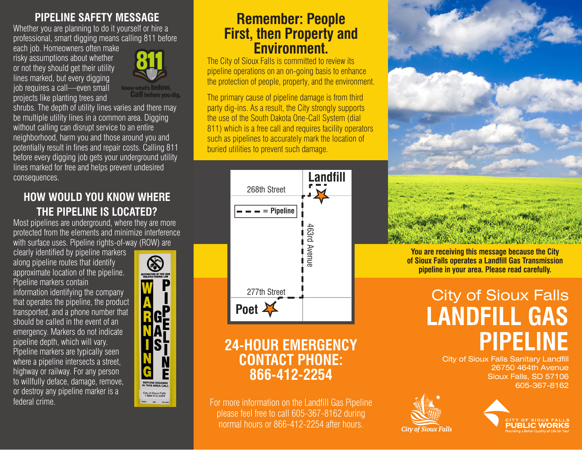#### **PIPELINE SAFETY MESSAGE**

Whether you are planning to do it yourself or hire a professional, smart digging means calling 811 before

each job. Homeowners often make risky assumptions about whether or not they should get their utility lines marked, but every digging job requires a call—even small projects like planting trees and



Know what's **below.**<br>**Call** before you dig.

shrubs. The depth of utility lines varies and there may be multiple utility lines in a common area. Digging without calling can disrupt service to an entire neighborhood, harm you and those around you and potentially result in fines and repair costs. Calling 811 before every digging job gets your underground utility lines marked for free and helps prevent undesired consequences.

## **HOW WOULD YOU KNOW WHERE THE PIPELINE IS LOCATED?**

Most pipelines are underground, where they are more protected from the elements and minimize interference with surface uses. Pipeline rights-of-way (ROW) are

clearly identified by pipeline markers along pipeline routes that identify approximate location of the pipeline. Pipeline markers contain information identifying the company that operates the pipeline, the product transported, and a phone number that should be called in the event of an emergency. Markers do not indicate pipeline depth, which will vary. Pipeline markers are typically seen where a pipeline intersects a street, highway or railway. For any person to willfully deface, damage, remove, or destroy any pipeline marker is a federal crime.



# **Remember: People First, then Property and Environment.**

The City of Sioux Falls is committed to review its pipeline operations on an on-going basis to enhance the protection of people, property, and the environment.

The primary cause of pipeline damage is from third party dig-ins. As a result, the City strongly supports the use of the South Dakota One-Call System (dial 811) which is a free call and requires facility operators such as pipelines to accurately mark the location of buried utilities to prevent such damage.



# **24-HOUR EMERGENCY CONTACT PHONE: 866-412-2254**

For more information on the Landfill Gas Pipeline please feel free to call 605-367-8162 during normal hours or 866-412-2254 after hours.



**You are receiving this message because the City of Sioux Falls operates a Landfill Gas Transmission pipeline in your area. Please read carefully.**

# City of Sioux Falls **LANDFILL GAS PIPELINE**

**City of Sioux Falls Sanitary Landfill** 26750 464th Avenue Sioux Falls, SD 57106 605-367-8162





*City of Sioux Falls*